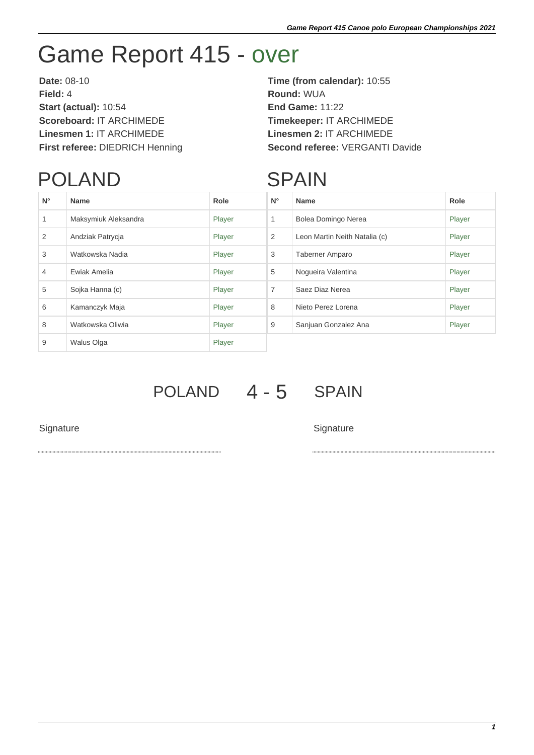## Game Report 415 - over

**Date:** 08-10 **Time (from calendar):** 10:55 **Field:** 4 **Round:** WUA **Start (actual):** 10:54 **End Game:** 11:22 **Scoreboard:** IT ARCHIMEDE **Timekeeper:** IT ARCHIMEDE **Linesmen 1:** IT ARCHIMEDE **Linesmen 2:** IT ARCHIMEDE

## **First referee:** DIEDRICH Henning **Second referee:** VERGANTI Davide

## POLAND

## **SPAIN**

| $N^{\circ}$ | <b>Name</b>          | Role   | $N^{\circ}$    | <b>Name</b>                   | Role   |
|-------------|----------------------|--------|----------------|-------------------------------|--------|
| 1           | Maksymiuk Aleksandra | Player | 1              | Bolea Domingo Nerea           | Player |
| 2           | Andziak Patrycja     | Player | 2              | Leon Martin Neith Natalia (c) | Player |
| 3           | Watkowska Nadia      | Player | 3              | <b>Taberner Amparo</b>        | Player |
| 4           | Ewiak Amelia         | Player | 5              | Noqueira Valentina            | Player |
| 5           | Sojka Hanna (c)      | Player | $\overline{7}$ | Saez Diaz Nerea               | Player |
| 6           | Kamanczyk Maja       | Player | 8              | Nieto Perez Lorena            | Player |
| 8           | Watkowska Oliwia     | Player | 9              | Sanjuan Gonzalez Ana          | Player |
| 9           | Walus Olga           | Player |                |                               |        |

POLAND 4 - 5 SPAIN

Signature Signature Signature Signature Signature Signature Signature Signature Signature Signature Signature Signature Signature Signature Signature Signature Signature Signature Signature Signature Signature Signature Si